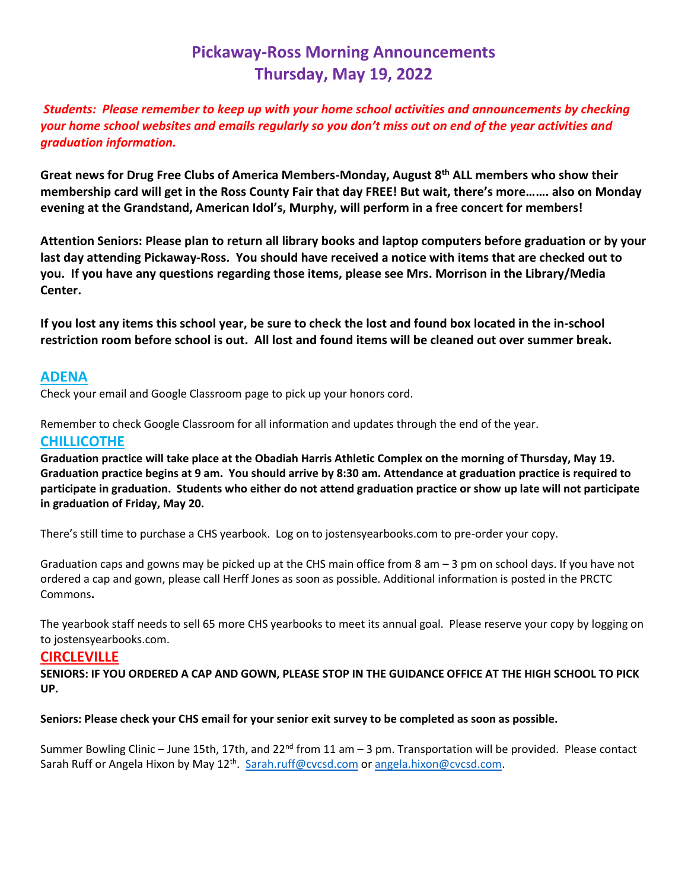# **Pickaway-Ross Morning Announcements Thursday, May 19, 2022**

*Students: Please remember to keep up with your home school activities and announcements by checking your home school websites and emails regularly so you don't miss out on end of the year activities and graduation information.* 

**Great news for Drug Free Clubs of America Members-Monday, August 8th ALL members who show their membership card will get in the Ross County Fair that day FREE! But wait, there's more……. also on Monday evening at the Grandstand, American Idol's, Murphy, will perform in a free concert for members!**

**Attention Seniors: Please plan to return all library books and laptop computers before graduation or by your last day attending Pickaway-Ross. You should have received a notice with items that are checked out to you. If you have any questions regarding those items, please see Mrs. Morrison in the Library/Media Center.** 

**If you lost any items this school year, be sure to check the lost and found box located in the in-school restriction room before school is out. All lost and found items will be cleaned out over summer break.**

### **ADENA**

Check your email and Google Classroom page to pick up your honors cord.

Remember to check Google Classroom for all information and updates through the end of the year.

### **CHILLICOTHE**

**Graduation practice will take place at the Obadiah Harris Athletic Complex on the morning of Thursday, May 19. Graduation practice begins at 9 am. You should arrive by 8:30 am. Attendance at graduation practice is required to participate in graduation. Students who either do not attend graduation practice or show up late will not participate in graduation of Friday, May 20.**

There's still time to purchase a CHS yearbook. Log on to jostensyearbooks.com to pre-order your copy.

Graduation caps and gowns may be picked up at the CHS main office from 8 am – 3 pm on school days. If you have not ordered a cap and gown, please call Herff Jones as soon as possible. Additional information is posted in the PRCTC Commons**.** 

The yearbook staff needs to sell 65 more CHS yearbooks to meet its annual goal. Please reserve your copy by logging on to jostensyearbooks.com.

# **CIRCLEVILLE**

**SENIORS: IF YOU ORDERED A CAP AND GOWN, PLEASE STOP IN THE GUIDANCE OFFICE AT THE HIGH SCHOOL TO PICK UP.** 

**Seniors: Please check your CHS email for your senior exit survey to be completed as soon as possible.**

Summer Bowling Clinic – June 15th, 17th, and 22<sup>nd</sup> from 11 am – 3 pm. Transportation will be provided. Please contact Sarah Ruff or Angela Hixon by May 12<sup>th</sup>. [Sarah.ruff@cvcsd.com](mailto:Sarah.ruff@cvcsd.com) o[r angela.hixon@cvcsd.com.](mailto:angela.hixon@cvcsd.com)